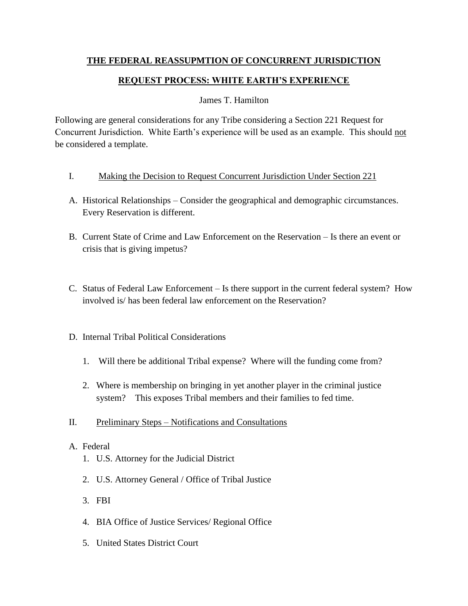# **THE FEDERAL REASSUPMTION OF CONCURRENT JURISDICTION**

# **REQUEST PROCESS: WHITE EARTH'S EXPERIENCE**

## James T. Hamilton

Following are general considerations for any Tribe considering a Section 221 Request for Concurrent Jurisdiction. White Earth's experience will be used as an example. This should not be considered a template.

- I. Making the Decision to Request Concurrent Jurisdiction Under Section 221
- A. Historical Relationships Consider the geographical and demographic circumstances. Every Reservation is different.
- B. Current State of Crime and Law Enforcement on the Reservation Is there an event or crisis that is giving impetus?
- C. Status of Federal Law Enforcement Is there support in the current federal system? How involved is/ has been federal law enforcement on the Reservation?
- D. Internal Tribal Political Considerations
	- 1. Will there be additional Tribal expense? Where will the funding come from?
	- 2. Where is membership on bringing in yet another player in the criminal justice system? This exposes Tribal members and their families to fed time.
- II. Preliminary Steps Notifications and Consultations

## A. Federal

- 1. U.S. Attorney for the Judicial District
- 2. U.S. Attorney General / Office of Tribal Justice
- 3. FBI
- 4. BIA Office of Justice Services/ Regional Office
- 5. United States District Court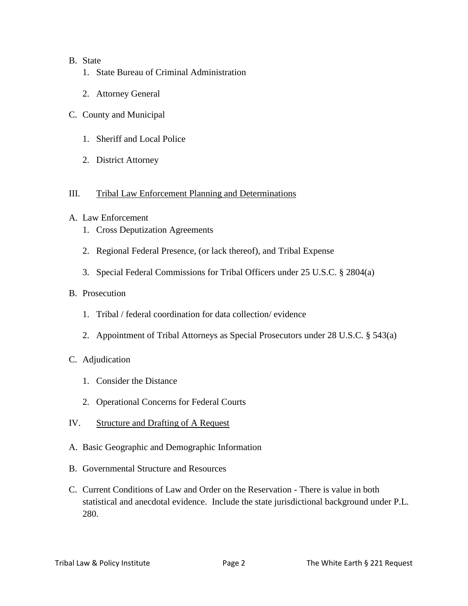### B. State

- 1. State Bureau of Criminal Administration
- 2. Attorney General
- C. County and Municipal
	- 1. Sheriff and Local Police
	- 2. District Attorney

### III. Tribal Law Enforcement Planning and Determinations

### A. Law Enforcement

- 1. Cross Deputization Agreements
- 2. Regional Federal Presence, (or lack thereof), and Tribal Expense
- 3. Special Federal Commissions for Tribal Officers under 25 U.S.C. § 2804(a)

### B. Prosecution

- 1. Tribal / federal coordination for data collection/ evidence
- 2. Appointment of Tribal Attorneys as Special Prosecutors under 28 U.S.C. § 543(a)

## C. Adjudication

- 1. Consider the Distance
- 2. Operational Concerns for Federal Courts
- IV. Structure and Drafting of A Request
- A. Basic Geographic and Demographic Information
- B. Governmental Structure and Resources
- C. Current Conditions of Law and Order on the Reservation There is value in both statistical and anecdotal evidence. Include the state jurisdictional background under P.L. 280.